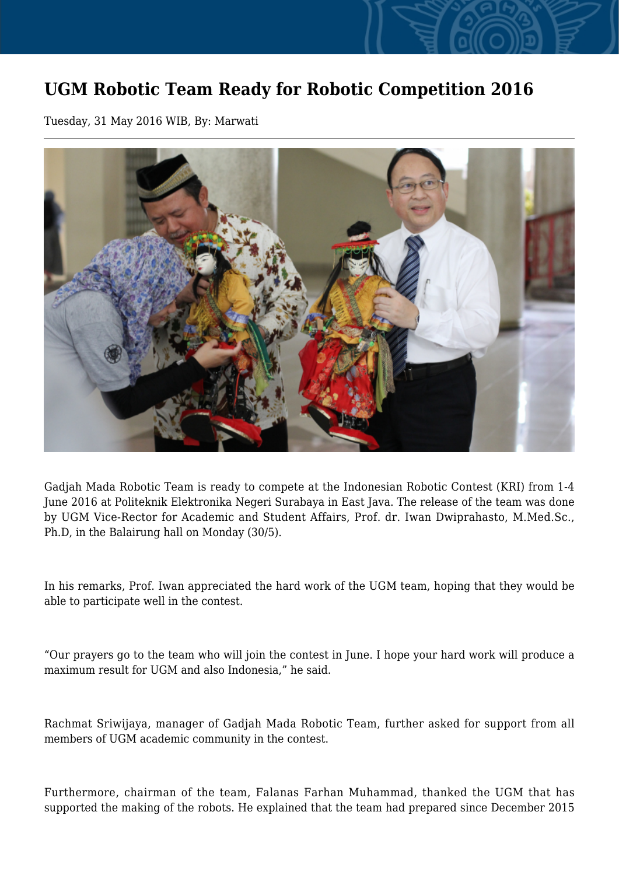## **UGM Robotic Team Ready for Robotic Competition 2016**

Tuesday, 31 May 2016 WIB, By: Marwati



Gadjah Mada Robotic Team is ready to compete at the Indonesian Robotic Contest (KRI) from 1-4 June 2016 at Politeknik Elektronika Negeri Surabaya in East Java. The release of the team was done by UGM Vice-Rector for Academic and Student Affairs, Prof. dr. Iwan Dwiprahasto, M.Med.Sc., Ph.D, in the Balairung hall on Monday (30/5).

In his remarks, Prof. Iwan appreciated the hard work of the UGM team, hoping that they would be able to participate well in the contest.

"Our prayers go to the team who will join the contest in June. I hope your hard work will produce a maximum result for UGM and also Indonesia," he said.

Rachmat Sriwijaya, manager of Gadjah Mada Robotic Team, further asked for support from all members of UGM academic community in the contest.

Furthermore, chairman of the team, Falanas Farhan Muhammad, thanked the UGM that has supported the making of the robots. He explained that the team had prepared since December 2015